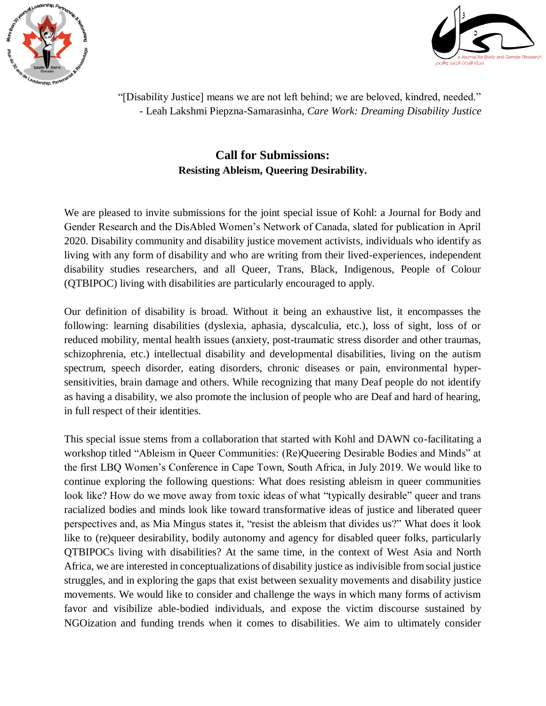



"[Disability Justice] means we are not left behind; we are beloved, kindred, needed." - Leah Lakshmi Piepzna-Samarasinha, *Care Work: Dreaming Disability Justice*

## **Call for Submissions: Resisting Ableism, Queering Desirability.**

We are pleased to invite submissions for the joint special issue of Kohl: a Journal for Body and Gender Research and the DisAbled Women's Network of Canada, slated for publication in April 2020. Disability community and disability justice movement activists, individuals who identify as living with any form of disability and who are writing from their lived-experiences, independent disability studies researchers, and all Queer, Trans, Black, Indigenous, People of Colour (QTBIPOC) living with disabilities are particularly encouraged to apply.

Our definition of disability is broad. Without it being an exhaustive list, it encompasses the following: learning disabilities (dyslexia, aphasia, dyscalculia, etc.), loss of sight, loss of or reduced mobility, mental health issues (anxiety, post-traumatic stress disorder and other traumas, schizophrenia, etc.) intellectual disability and developmental disabilities, living on the autism spectrum, speech disorder, eating disorders, chronic diseases or pain, environmental hypersensitivities, brain damage and others. While recognizing that many Deaf people do not identify as having a disability, we also promote the inclusion of people who are Deaf and hard of hearing, in full respect of their identities.

This special issue stems from a collaboration that started with Kohl and DAWN co-facilitating a workshop titled "Ableism in Queer Communities: (Re)Queering Desirable Bodies and Minds" at the first LBQ Women's Conference in Cape Town, South Africa, in July 2019. We would like to continue exploring the following questions: What does resisting ableism in queer communities look like? How do we move away from toxic ideas of what "typically desirable" queer and trans racialized bodies and minds look like toward transformative ideas of justice and liberated queer perspectives and, as Mia Mingus states it, "resist the ableism that divides us?" What does it look like to (re)queer desirability, bodily autonomy and agency for disabled queer folks, particularly QTBIPOCs living with disabilities? At the same time, in the context of West Asia and North Africa, we are interested in conceptualizations of disability justice as indivisible from social justice struggles, and in exploring the gaps that exist between sexuality movements and disability justice movements. We would like to consider and challenge the ways in which many forms of activism favor and visibilize able-bodied individuals, and expose the victim discourse sustained by NGOization and funding trends when it comes to disabilities. We aim to ultimately consider